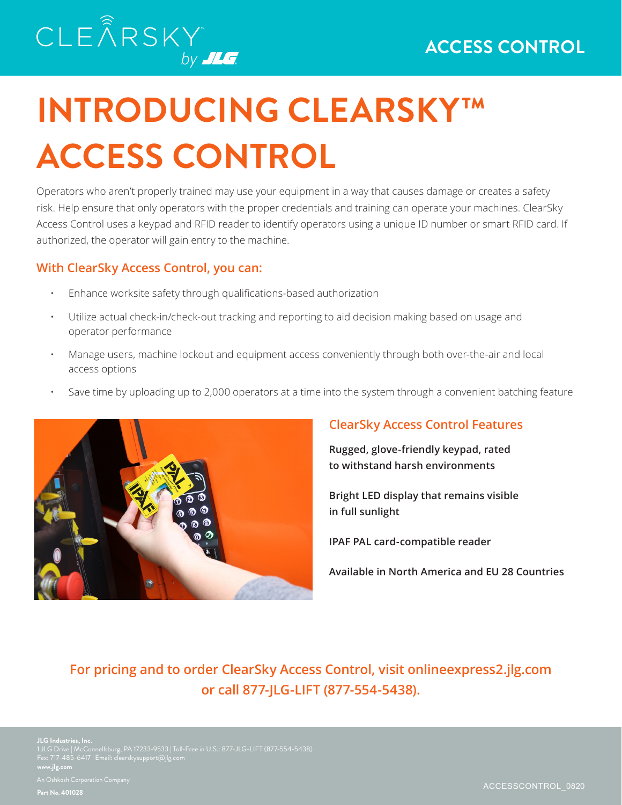# **INTRODUCING CLEARSKY™ ACCESS CONTROL**

Operators who aren't properly trained may use your equipment in a way that causes damage or creates a safety risk. Help ensure that only operators with the proper credentials and training can operate your machines. ClearSky Access Control uses a keypad and RFID reader to identify operators using a unique ID number or smart RFID card. If authorized, the operator will gain entry to the machine.

### **With ClearSky Access Control, you can:**

- Enhance worksite safety through qualifications-based authorization
- Utilize actual check-in/check-out tracking and reporting to aid decision making based on usage and operator performance
- Manage users, machine lockout and equipment access conveniently through both over-the-air and local access options
- Save time by uploading up to 2,000 operators at a time into the system through a convenient batching feature



## **ClearSky Access Control Features**

**Rugged, glove-friendly keypad, rated to withstand harsh environments**

**Bright LED display that remains visible in full sunlight**

**IPAF PAL card-compatible reader**

**Available in North America and EU 28 Countries**

**For pricing and to order ClearSky Access Control, visit onlineexpress2.jlg.com or call 877-JLG-LIFT (877-554-5438).**